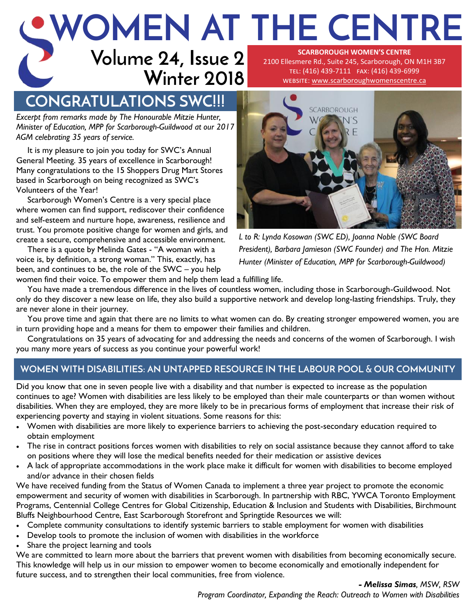### **Volume 24, Issue 2 WOMEN AT THE CENTRE SCARBOROUGH WOMEN'S CENTRE**  2100 Ellesmere Rd., Suite 245, Scarborough, ON M1H 3B7

# **Winter 2018**

tel: (416) 439-7111 fax: (416) 439-6999 website: [www.scarboroughwomenscentre.ca](http://www.scarboroughwomenscentre.ca)

## **CONGRATULATIONS SWC!!!**

*Excerpt from remarks made by The Honourable Mitzie Hunter, Minister of Education, MPP for Scarborough-Guildwood at our 2017 AGM celebrating 35 years of service.*

It is my pleasure to join you today for SWC's Annual General Meeting. 35 years of excellence in Scarborough! Many congratulations to the 15 Shoppers Drug Mart Stores based in Scarborough on being recognized as SWC's Volunteers of the Year!

Scarborough Women's Centre is a very special place where women can find support, rediscover their confidence and self-esteem and nurture hope, awareness, resilience and trust. You promote positive change for women and girls, and create a secure, comprehensive and accessible environment.

There is a quote by Melinda Gates - "A woman with a voice is, by definition, a strong woman." This, exactly, has been, and continues to be, the role of the SWC – you help



*L to R: Lynda Kosowan (SWC ED), Joanna Noble (SWC Board President), Barbara Jamieson (SWC Founder) and The Hon. Mitzie Hunter (Minister of Education, MPP for Scarborough-Guildwood)*

women find their voice. To empower them and help them lead a fulfilling life.

You have made a tremendous difference in the lives of countless women, including those in Scarborough-Guildwood. Not only do they discover a new lease on life, they also build a supportive network and develop long-lasting friendships. Truly, they are never alone in their journey.

You prove time and again that there are no limits to what women can do. By creating stronger empowered women, you are in turn providing hope and a means for them to empower their families and children.

Congratulations on 35 years of advocating for and addressing the needs and concerns of the women of Scarborough. I wish you many more years of success as you continue your powerful work!

### **WOMEN WITH DISABILITIES: AN UNTAPPED RESOURCE IN THE LABOUR POOL & OUR COMMUNITY**

Did you know that one in seven people live with a disability and that number is expected to increase as the population continues to age? Women with disabilities are less likely to be employed than their male counterparts or than women without disabilities. When they are employed, they are more likely to be in precarious forms of employment that increase their risk of experiencing poverty and staying in violent situations. Some reasons for this:

- Women with disabilities are more likely to experience barriers to achieving the post-secondary education required to obtain employment
- The rise in contract positions forces women with disabilities to rely on social assistance because they cannot afford to take on positions where they will lose the medical benefits needed for their medication or assistive devices
- A lack of appropriate accommodations in the work place make it difficult for women with disabilities to become employed and/or advance in their chosen fields

We have received funding from the Status of Women Canada to implement a three year project to promote the economic empowerment and security of women with disabilities in Scarborough. In partnership with RBC, YWCA Toronto Employment Programs, Centennial College Centres for Global Citizenship, Education & Inclusion and Students with Disabilities, Birchmount Bluffs Neighbourhood Centre, East Scarborough Storefront and Springtide Resources we will:

- Complete community consultations to identify systemic barriers to stable employment for women with disabilities
- Develop tools to promote the inclusion of women with disabilities in the workforce
- Share the project learning and tools

We are committed to learn more about the barriers that prevent women with disabilities from becoming economically secure. This knowledge will help us in our mission to empower women to become economically and emotionally independent for future success, and to strengthen their local communities, free from violence.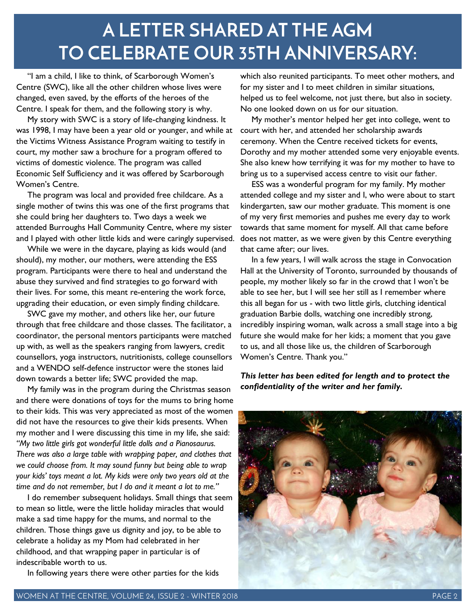## **A LETTER SHARED AT THE AGM TO CELEBRATE OUR 35TH ANNIVERSARY:**

"I am a child, I like to think, of Scarborough Women's Centre (SWC), like all the other children whose lives were changed, even saved, by the efforts of the heroes of the Centre. I speak for them, and the following story is why.

My story with SWC is a story of life-changing kindness. It was 1998, I may have been a year old or younger, and while at the Victims Witness Assistance Program waiting to testify in court, my mother saw a brochure for a program offered to victims of domestic violence. The program was called Economic Self Sufficiency and it was offered by Scarborough Women's Centre.

The program was local and provided free childcare. As a single mother of twins this was one of the first programs that she could bring her daughters to. Two days a week we attended Burroughs Hall Community Centre, where my sister and I played with other little kids and were caringly supervised.

While we were in the daycare, playing as kids would (and should), my mother, our mothers, were attending the ESS program. Participants were there to heal and understand the abuse they survived and find strategies to go forward with their lives. For some, this meant re-entering the work force, upgrading their education, or even simply finding childcare.

SWC gave my mother, and others like her, our future through that free childcare and those classes. The facilitator, a coordinator, the personal mentors participants were matched up with, as well as the speakers ranging from lawyers, credit counsellors, yoga instructors, nutritionists, college counsellors and a WENDO self-defence instructor were the stones laid down towards a better life; SWC provided the map.

My family was in the program during the Christmas season and there were donations of toys for the mums to bring home to their kids. This was very appreciated as most of the women did not have the resources to give their kids presents. When my mother and I were discussing this time in my life, she said: *"My two little girls got wonderful little dolls and a Pianosaurus. There was also a large table with wrapping paper, and clothes that we could choose from. It may sound funny but being able to wrap your kids' toys meant a lot. My kids were only two years old at the time and do not remember, but I do and it meant a lot to me."* 

I do remember subsequent holidays. Small things that seem to mean so little, were the little holiday miracles that would make a sad time happy for the mums, and normal to the children. Those things gave us dignity and joy, to be able to celebrate a holiday as my Mom had celebrated in her childhood, and that wrapping paper in particular is of indescribable worth to us.

In following years there were other parties for the kids

which also reunited participants. To meet other mothers, and for my sister and I to meet children in similar situations, helped us to feel welcome, not just there, but also in society. No one looked down on us for our situation.

My mother's mentor helped her get into college, went to court with her, and attended her scholarship awards ceremony. When the Centre received tickets for events, Dorothy and my mother attended some very enjoyable events. She also knew how terrifying it was for my mother to have to bring us to a supervised access centre to visit our father.

ESS was a wonderful program for my family. My mother attended college and my sister and I, who were about to start kindergarten, saw our mother graduate. This moment is one of my very first memories and pushes me every day to work towards that same moment for myself. All that came before does not matter, as we were given by this Centre everything that came after; our lives.

In a few years, I will walk across the stage in Convocation Hall at the University of Toronto, surrounded by thousands of people, my mother likely so far in the crowd that I won't be able to see her, but I will see her still as I remember where this all began for us - with two little girls, clutching identical graduation Barbie dolls, watching one incredibly strong, incredibly inspiring woman, walk across a small stage into a big future she would make for her kids; a moment that you gave to us, and all those like us, the children of Scarborough Women's Centre. Thank you."

*This letter has been edited for length and to protect the confidentiality of the writer and her family.* 

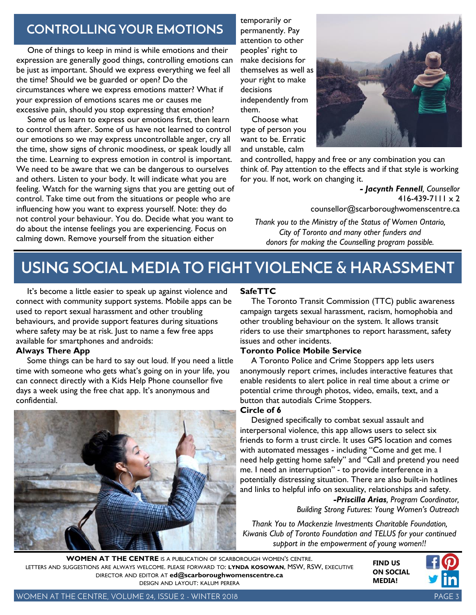## **CONTROLLING YOUR EMOTIONS**

One of things to keep in mind is while emotions and their expression are generally good things, controlling emotions can be just as important. Should we express everything we feel all the time? Should we be guarded or open? Do the circumstances where we express emotions matter? What if your expression of emotions scares me or causes me excessive pain, should you stop expressing that emotion?

Some of us learn to express our emotions first, then learn to control them after. Some of us have not learned to control our emotions so we may express uncontrollable anger, cry all the time, show signs of chronic moodiness, or speak loudly all the time. Learning to express emotion in control is important. We need to be aware that we can be dangerous to ourselves and others. Listen to your body. It will indicate what you are feeling. Watch for the warning signs that you are getting out of control. Take time out from the situations or people who are influencing how you want to express yourself. Note: they do not control your behaviour. You do. Decide what you want to do about the intense feelings you are experiencing. Focus on calming down. Remove yourself from the situation either

temporarily or permanently. Pay attention to other peoples' right to make decisions for themselves as well as your right to make decisions independently from them.

Choose what type of person you want to be. Erratic and unstable, calm



and controlled, happy and free or any combination you can think of. Pay attention to the effects and if that style is working for you. If not, work on changing it.

> *- Jacynth Fennell, Counsellor*  $416 - 439 - 7111 \times 2$ counsellor@scarboroughwomenscentre.ca

*Thank you to the Ministry of the Status of Women Ontario, City of Toronto and many other funders and donors for making the Counselling program possible.*

## **USING SOCIAL MEDIA TO FIGHT VIOLENCE & HARASSMENT**

It's become a little easier to speak up against violence and connect with community support systems. Mobile apps can be used to report sexual harassment and other troubling behaviours, and provide support features during situations where safety may be at risk. Just to name a few free apps available for smartphones and androids:

#### **Always There App**

Some things can be hard to say out loud. If you need a little time with someone who gets what's going on in your life, you can connect directly with a Kids Help Phone counsellor five days a week using the free chat app. It's anonymous and confidential.



#### **SafeTTC**

The Toronto Transit Commission (TTC) public awareness campaign targets sexual harassment, racism, homophobia and other troubling behaviour on the system. It allows transit riders to use their smartphones to report harassment, safety issues and other incidents.

#### **Toronto Police Mobile Service**

A Toronto Police and Crime Stoppers app lets users anonymously report crimes, includes interactive features that enable residents to alert police in real time about a crime or potential crime through photos, video, emails, text, and a button that autodials Crime Stoppers.

#### **Circle of 6**

Designed specifically to combat sexual assault and interpersonal violence, this app allows users to select six friends to form a trust circle. It uses GPS location and comes with automated messages - including "Come and get me. I need help getting home safely" and "Call and pretend you need me. I need an interruption" - to provide interference in a potentially distressing situation. There are also built-in hotlines and links to helpful info on sexuality, relationships and safety.

*-Priscilla Arias, Program Coordinator, Building Strong Futures: Young Women's Outreach*

*Thank You to Mackenzie Investments Charitable Foundation, Kiwanis Club of Toronto Foundation and TELUS for your continued support in the empowerment of young women!!*

**FIND US WOMEN AT THE CENTRE** IS <sup>A</sup> PUBLICATION OF SCARBOROUGH WOMEN'<sup>S</sup> CENTRE. LETTERS AND SUGGESTIONS ARE ALWAYS WELCOME. PLEASE FORWARD TO: **LYNDA KOSOWAN**, MSW, RSW, EXECUTIVE DIRECTOR AND EDITOR AT **[ed@scarboroughwomenscentre.ca](mailto:ed@scarboroughwomenscentre.ca)**  DESIGN AND LAYOUT: KALUM PERERA